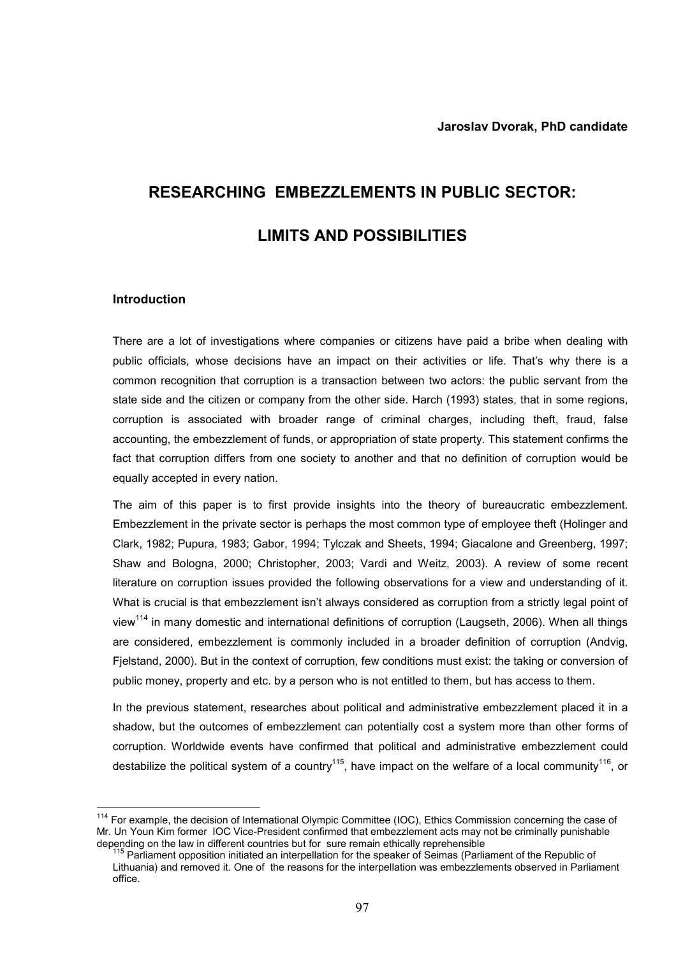# RESEARCHING EMBEZZLEMENTS IN PUBLIC SECTOR: LIMITS AND POSSIBILITIES

### Introduction

 $\overline{\phantom{a}}$ 

There are a lot of investigations where companies or citizens have paid a bribe when dealing with public officials, whose decisions have an impact on their activities or life. That's why there is a common recognition that corruption is a transaction between two actors: the public servant from the state side and the citizen or company from the other side. Harch (1993) states, that in some regions, corruption is associated with broader range of criminal charges, including theft, fraud, false accounting, the embezzlement of funds, or appropriation of state property. This statement confirms the fact that corruption differs from one society to another and that no definition of corruption would be equally accepted in every nation.

The aim of this paper is to first provide insights into the theory of bureaucratic embezzlement. Embezzlement in the private sector is perhaps the most common type of employee theft (Holinger and Clark, 1982; Pupura, 1983; Gabor, 1994; Tylczak and Sheets, 1994; Giacalone and Greenberg, 1997; Shaw and Bologna, 2000; Christopher, 2003; Vardi and Weitz, 2003). A review of some recent literature on corruption issues provided the following observations for a view and understanding of it. What is crucial is that embezzlement isn't always considered as corruption from a strictly legal point of view<sup>114</sup> in many domestic and international definitions of corruption (Laugseth, 2006). When all things are considered, embezzlement is commonly included in a broader definition of corruption (Andvig, Fjelstand, 2000). But in the context of corruption, few conditions must exist: the taking or conversion of public money, property and etc. by a person who is not entitled to them, but has access to them.

In the previous statement, researches about political and administrative embezzlement placed it in a shadow, but the outcomes of embezzlement can potentially cost a system more than other forms of corruption. Worldwide events have confirmed that political and administrative embezzlement could destabilize the political system of a country<sup>115</sup>, have impact on the welfare of a local community<sup>116</sup>, or

<sup>&</sup>lt;sup>114</sup> For example, the decision of International Olympic Committee (IOC), Ethics Commission concerning the case of Mr. Un Youn Kim former IOC Vice-President confirmed that embezzlement acts may not be criminally punishable depending on the law in different countries but for sure remain ethically reprehensible

<sup>&</sup>lt;sup>15</sup> Parliament opposition initiated an interpellation for the speaker of Seimas (Parliament of the Republic of Lithuania) and removed it. One of the reasons for the interpellation was embezzlements observed in Parliament office.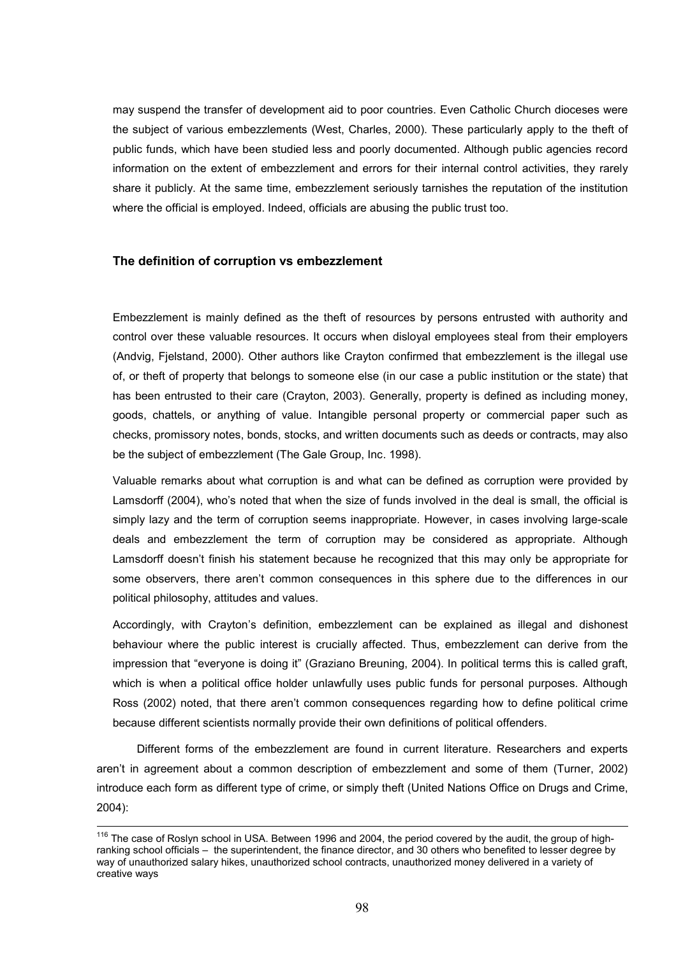may suspend the transfer of development aid to poor countries. Even Catholic Church dioceses were the subject of various embezzlements (West, Charles, 2000). These particularly apply to the theft of public funds, which have been studied less and poorly documented. Although public agencies record information on the extent of embezzlement and errors for their internal control activities, they rarely share it publicly. At the same time, embezzlement seriously tarnishes the reputation of the institution where the official is employed. Indeed, officials are abusing the public trust too.

## The definition of corruption vs embezzlement

<u>.</u>

Embezzlement is mainly defined as the theft of resources by persons entrusted with authority and control over these valuable resources. It occurs when disloyal employees steal from their employers (Andvig, Fjelstand, 2000). Other authors like Crayton confirmed that embezzlement is the illegal use of, or theft of property that belongs to someone else (in our case a public institution or the state) that has been entrusted to their care (Crayton, 2003). Generally, property is defined as including money, goods, chattels, or anything of value. Intangible personal property or commercial paper such as checks, promissory notes, bonds, stocks, and written documents such as deeds or contracts, may also be the subject of embezzlement (The Gale Group, Inc. 1998).

Valuable remarks about what corruption is and what can be defined as corruption were provided by Lamsdorff (2004), who's noted that when the size of funds involved in the deal is small, the official is simply lazy and the term of corruption seems inappropriate. However, in cases involving large-scale deals and embezzlement the term of corruption may be considered as appropriate. Although Lamsdorff doesn't finish his statement because he recognized that this may only be appropriate for some observers, there aren't common consequences in this sphere due to the differences in our political philosophy, attitudes and values.

Accordingly, with Crayton's definition, embezzlement can be explained as illegal and dishonest behaviour where the public interest is crucially affected. Thus, embezzlement can derive from the impression that "everyone is doing it" (Graziano Breuning, 2004). In political terms this is called graft, which is when a political office holder unlawfully uses public funds for personal purposes. Although Ross (2002) noted, that there aren't common consequences regarding how to define political crime because different scientists normally provide their own definitions of political offenders.

Different forms of the embezzlement are found in current literature. Researchers and experts aren't in agreement about a common description of embezzlement and some of them (Turner, 2002) introduce each form as different type of crime, or simply theft (United Nations Office on Drugs and Crime, 2004):

<sup>&</sup>lt;sup>116</sup> The case of Roslyn school in USA. Between 1996 and 2004, the period covered by the audit, the group of highranking school officials – the superintendent, the finance director, and 30 others who benefited to lesser degree by way of unauthorized salary hikes, unauthorized school contracts, unauthorized money delivered in a variety of creative ways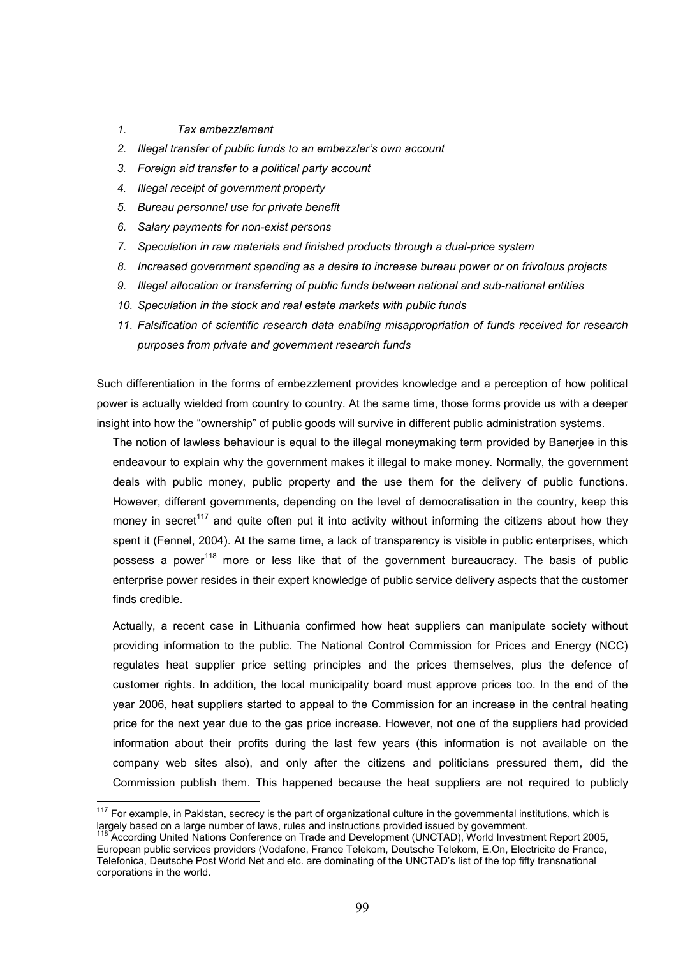1. Tax embezzlement

 $\overline{1}$ 

- 2. Illegal transfer of public funds to an embezzler's own account
- 3. Foreign aid transfer to a political party account
- 4. Illegal receipt of government property
- 5. Bureau personnel use for private benefit
- 6. Salary payments for non-exist persons
- 7. Speculation in raw materials and finished products through a dual-price system
- 8. Increased government spending as a desire to increase bureau power or on frivolous projects
- 9. Illegal allocation or transferring of public funds between national and sub-national entities
- 10. Speculation in the stock and real estate markets with public funds
- 11. Falsification of scientific research data enabling misappropriation of funds received for research purposes from private and government research funds

Such differentiation in the forms of embezzlement provides knowledge and a perception of how political power is actually wielded from country to country. At the same time, those forms provide us with a deeper insight into how the "ownership" of public goods will survive in different public administration systems.

The notion of lawless behaviour is equal to the illegal moneymaking term provided by Banerjee in this endeavour to explain why the government makes it illegal to make money. Normally, the government deals with public money, public property and the use them for the delivery of public functions. However, different governments, depending on the level of democratisation in the country, keep this money in secret<sup>117</sup> and quite often put it into activity without informing the citizens about how they spent it (Fennel, 2004). At the same time, a lack of transparency is visible in public enterprises, which possess a power<sup>118</sup> more or less like that of the government bureaucracy. The basis of public enterprise power resides in their expert knowledge of public service delivery aspects that the customer finds credible.

Actually, a recent case in Lithuania confirmed how heat suppliers can manipulate society without providing information to the public. The National Control Commission for Prices and Energy (NCC) regulates heat supplier price setting principles and the prices themselves, plus the defence of customer rights. In addition, the local municipality board must approve prices too. In the end of the year 2006, heat suppliers started to appeal to the Commission for an increase in the central heating price for the next year due to the gas price increase. However, not one of the suppliers had provided information about their profits during the last few years (this information is not available on the company web sites also), and only after the citizens and politicians pressured them, did the Commission publish them. This happened because the heat suppliers are not required to publicly

 $117$  For example, in Pakistan, secrecy is the part of organizational culture in the governmental institutions, which is largely based on a large number of laws, rules and instructions provided issued by government.

<sup>&</sup>lt;sup>118</sup> According United Nations Conference on Trade and Development (UNCTAD), World Investment Report 2005, European public services providers (Vodafone, France Telekom, Deutsche Telekom, E.On, Electricite de France, Telefonica, Deutsche Post World Net and etc. are dominating of the UNCTAD's list of the top fifty transnational corporations in the world.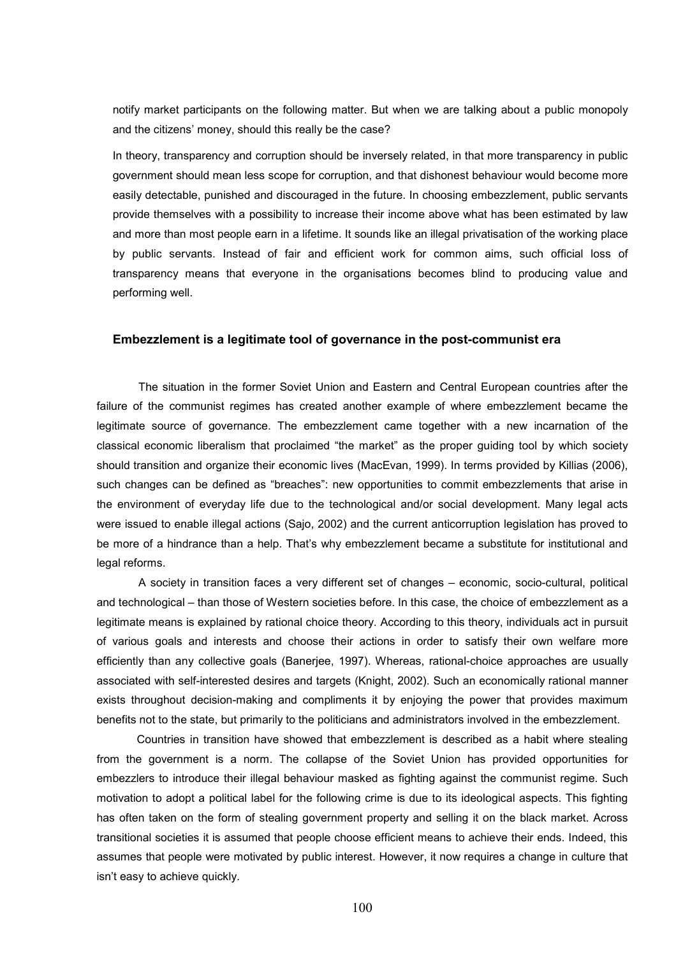notify market participants on the following matter. But when we are talking about a public monopoly and the citizens' money, should this really be the case?

In theory, transparency and corruption should be inversely related, in that more transparency in public government should mean less scope for corruption, and that dishonest behaviour would become more easily detectable, punished and discouraged in the future. In choosing embezzlement, public servants provide themselves with a possibility to increase their income above what has been estimated by law and more than most people earn in a lifetime. It sounds like an illegal privatisation of the working place by public servants. Instead of fair and efficient work for common aims, such official loss of transparency means that everyone in the organisations becomes blind to producing value and performing well.

#### Embezzlement is a legitimate tool of governance in the post-communist era

 The situation in the former Soviet Union and Eastern and Central European countries after the failure of the communist regimes has created another example of where embezzlement became the legitimate source of governance. The embezzlement came together with a new incarnation of the classical economic liberalism that proclaimed "the market" as the proper guiding tool by which society should transition and organize their economic lives (MacEvan, 1999). In terms provided by Killias (2006), such changes can be defined as "breaches": new opportunities to commit embezzlements that arise in the environment of everyday life due to the technological and/or social development. Many legal acts were issued to enable illegal actions (Sajo, 2002) and the current anticorruption legislation has proved to be more of a hindrance than a help. That's why embezzlement became a substitute for institutional and legal reforms.

A society in transition faces a very different set of changes – economic, socio-cultural, political and technological – than those of Western societies before. In this case, the choice of embezzlement as a legitimate means is explained by rational choice theory. According to this theory, individuals act in pursuit of various goals and interests and choose their actions in order to satisfy their own welfare more efficiently than any collective goals (Banerjee, 1997). Whereas, rational-choice approaches are usually associated with self-interested desires and targets (Knight, 2002). Such an economically rational manner exists throughout decision-making and compliments it by enjoying the power that provides maximum benefits not to the state, but primarily to the politicians and administrators involved in the embezzlement.

Countries in transition have showed that embezzlement is described as a habit where stealing from the government is a norm. The collapse of the Soviet Union has provided opportunities for embezzlers to introduce their illegal behaviour masked as fighting against the communist regime. Such motivation to adopt a political label for the following crime is due to its ideological aspects. This fighting has often taken on the form of stealing government property and selling it on the black market. Across transitional societies it is assumed that people choose efficient means to achieve their ends. Indeed, this assumes that people were motivated by public interest. However, it now requires a change in culture that isn't easy to achieve quickly.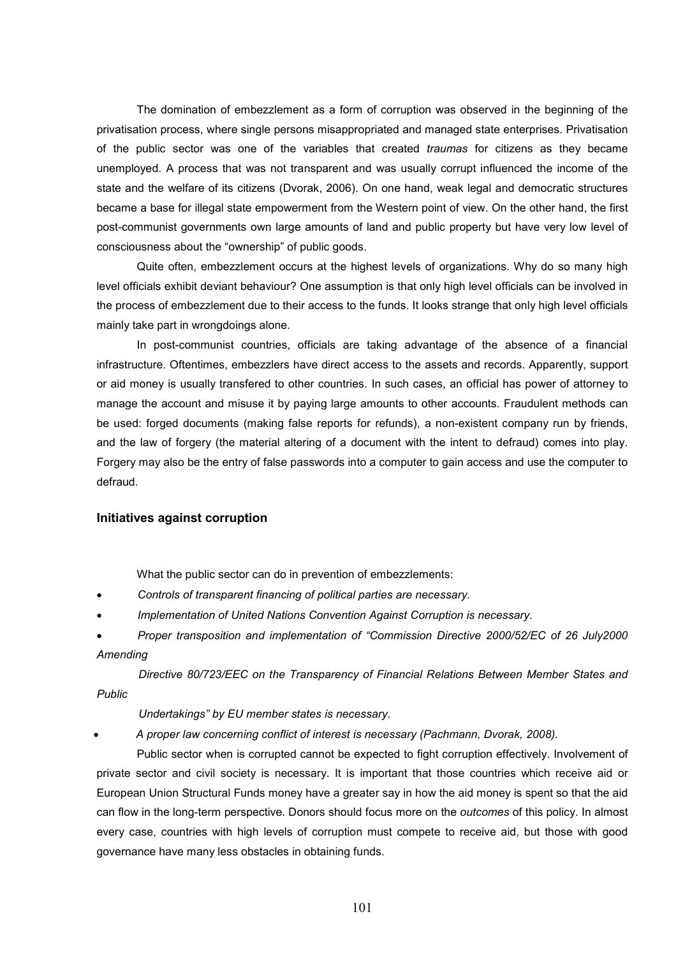The domination of embezzlement as a form of corruption was observed in the beginning of the privatisation process, where single persons misappropriated and managed state enterprises. Privatisation of the public sector was one of the variables that created *traumas* for citizens as they became unemployed. A process that was not transparent and was usually corrupt influenced the income of the state and the welfare of its citizens (Dvorak, 2006). On one hand, weak legal and democratic structures became a base for illegal state empowerment from the Western point of view. On the other hand, the first post-communist governments own large amounts of land and public property but have very low level of consciousness about the "ownership" of public goods.

Quite often, embezzlement occurs at the highest levels of organizations. Why do so many high level officials exhibit deviant behaviour? One assumption is that only high level officials can be involved in the process of embezzlement due to their access to the funds. It looks strange that only high level officials mainly take part in wrongdoings alone.

In post-communist countries, officials are taking advantage of the absence of a financial infrastructure. Oftentimes, embezzlers have direct access to the assets and records. Apparently, support or aid money is usually transfered to other countries. In such cases, an official has power of attorney to manage the account and misuse it by paying large amounts to other accounts. Fraudulent methods can be used: forged documents (making false reports for refunds), a non-existent company run by friends, and the law of forgery (the material altering of a document with the intent to defraud) comes into play. Forgery may also be the entry of false passwords into a computer to gain access and use the computer to defraud.

## Initiatives against corruption

What the public sector can do in prevention of embezzlements:

- Controls of transparent financing of political parties are necessary.
- Implementation of United Nations Convention Against Corruption is necessary.
- Proper transposition and implementation of "Commission Directive 2000/52/EC of 26 July2000 Amending

Directive 80/723/EEC on the Transparency of Financial Relations Between Member States and Public

Undertakings" by EU member states is necessary.

• A proper law concerning conflict of interest is necessary (Pachmann, Dvorak, 2008).

Public sector when is corrupted cannot be expected to fight corruption effectively. Involvement of private sector and civil society is necessary. It is important that those countries which receive aid or European Union Structural Funds money have a greater say in how the aid money is spent so that the aid can flow in the long-term perspective. Donors should focus more on the *outcomes* of this policy. In almost every case, countries with high levels of corruption must compete to receive aid, but those with good governance have many less obstacles in obtaining funds.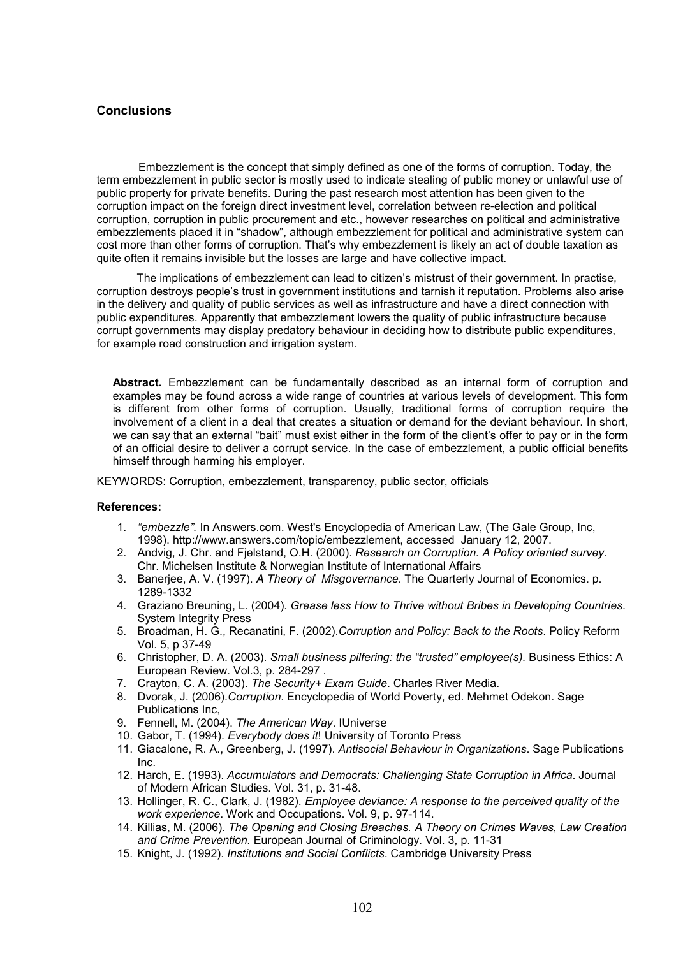## **Conclusions**

Embezzlement is the concept that simply defined as one of the forms of corruption. Today, the term embezzlement in public sector is mostly used to indicate stealing of public money or unlawful use of public property for private benefits. During the past research most attention has been given to the corruption impact on the foreign direct investment level, correlation between re-election and political corruption, corruption in public procurement and etc., however researches on political and administrative embezzlements placed it in "shadow", although embezzlement for political and administrative system can cost more than other forms of corruption. That's why embezzlement is likely an act of double taxation as quite often it remains invisible but the losses are large and have collective impact.

 The implications of embezzlement can lead to citizen's mistrust of their government. In practise, corruption destroys people's trust in government institutions and tarnish it reputation. Problems also arise in the delivery and quality of public services as well as infrastructure and have a direct connection with public expenditures. Apparently that embezzlement lowers the quality of public infrastructure because corrupt governments may display predatory behaviour in deciding how to distribute public expenditures, for example road construction and irrigation system.

Abstract. Embezzlement can be fundamentally described as an internal form of corruption and examples may be found across a wide range of countries at various levels of development. This form is different from other forms of corruption. Usually, traditional forms of corruption require the involvement of a client in a deal that creates a situation or demand for the deviant behaviour. In short, we can say that an external "bait" must exist either in the form of the client's offer to pay or in the form of an official desire to deliver a corrupt service. In the case of embezzlement, a public official benefits himself through harming his employer.

KEYWORDS: Corruption, embezzlement, transparency, public sector, officials

#### References:

- 1. "embezzle". In Answers.com. West's Encyclopedia of American Law, (The Gale Group, Inc, 1998). http://www.answers.com/topic/embezzlement, accessed January 12, 2007.
- 2. Andvig, J. Chr. and Fjelstand, O.H. (2000). Research on Corruption. A Policy oriented survey. Chr. Michelsen Institute & Norwegian Institute of International Affairs
- 3. Banerjee, A. V. (1997). A Theory of Misgovernance. The Quarterly Journal of Economics. p. 1289-1332
- 4. Graziano Breuning, L. (2004). Grease less How to Thrive without Bribes in Developing Countries. System Integrity Press
- 5. Broadman, H. G., Recanatini, F. (2002).Corruption and Policy: Back to the Roots. Policy Reform Vol. 5, p 37-49
- 6. Christopher, D. A. (2003). Small business pilfering: the "trusted" employee(s). Business Ethics: A European Review. Vol.3, p. 284-297 .
- 7. Crayton, C. A. (2003). The Security+ Exam Guide. Charles River Media.
- 8. Dvorak, J. (2006).Corruption. Encyclopedia of World Poverty, ed. Mehmet Odekon. Sage Publications Inc,
- 9. Fennell, M. (2004). The American Way. IUniverse
- 10. Gabor, T. (1994). Everybody does it! University of Toronto Press
- 11. Giacalone, R. A., Greenberg, J. (1997). Antisocial Behaviour in Organizations. Sage Publications Inc.
- 12. Harch, E. (1993). Accumulators and Democrats: Challenging State Corruption in Africa. Journal of Modern African Studies. Vol. 31, p. 31-48.
- 13. Hollinger, R. C., Clark, J. (1982). Employee deviance: A response to the perceived quality of the work experience. Work and Occupations. Vol. 9, p. 97-114.
- 14. Killias, M. (2006). The Opening and Closing Breaches. A Theory on Crimes Waves, Law Creation and Crime Prevention. European Journal of Criminology. Vol. 3, p. 11-31
- 15. Knight, J. (1992). Institutions and Social Conflicts. Cambridge University Press